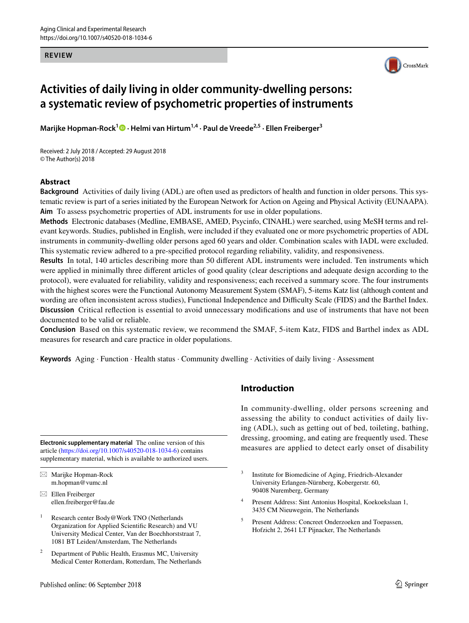#### **REVIEW**



# **Activities of daily living in older community-dwelling persons: a systematic review of psychometric properties of instruments**

**Marijke Hopman-Rock<sup>1</sup> • Helmi van Hirtum<sup>1,4</sup> [·](http://orcid.org/0000-0001-6373-4560) Paul de Vreede<sup>2,5</sup> · Ellen Freiberger<sup>3</sup>** 

Received: 2 July 2018 / Accepted: 29 August 2018 © The Author(s) 2018

#### **Abstract**

**Background** Activities of daily living (ADL) are often used as predictors of health and function in older persons. This systematic review is part of a series initiated by the European Network for Action on Ageing and Physical Activity (EUNAAPA). **Aim** To assess psychometric properties of ADL instruments for use in older populations.

**Methods** Electronic databases (Medline, EMBASE, AMED, Psycinfo, CINAHL) were searched, using MeSH terms and relevant keywords. Studies, published in English, were included if they evaluated one or more psychometric properties of ADL instruments in community-dwelling older persons aged 60 years and older. Combination scales with IADL were excluded. This systematic review adhered to a pre-specified protocol regarding reliability, validity, and responsiveness.

**Results** In total, 140 articles describing more than 50 different ADL instruments were included. Ten instruments which were applied in minimally three different articles of good quality (clear descriptions and adequate design according to the protocol), were evaluated for reliability, validity and responsiveness; each received a summary score. The four instruments with the highest scores were the Functional Autonomy Measurement System (SMAF), 5-items Katz list (although content and wording are often inconsistent across studies), Functional Independence and Difficulty Scale (FIDS) and the Barthel Index. **Discussion** Critical reflection is essential to avoid unnecessary modifications and use of instruments that have not been documented to be valid or reliable.

**Conclusion** Based on this systematic review, we recommend the SMAF, 5-item Katz, FIDS and Barthel index as ADL measures for research and care practice in older populations.

**Keywords** Aging · Function · Health status · Community dwelling · Activities of daily living · Assessment

article [\(https://doi.org/10.1007/s40520-018-1034-6\)](https://doi.org/10.1007/s40520-018-1034-6) contains supplementary material, which is available to authorized users.

 $\boxtimes$  Marijke Hopman-Rock m.hopman@vumc.nl

 $\boxtimes$  Ellen Freiberger ellen.freiberger@fau.de

- <sup>1</sup> Research center Body@Work TNO (Netherlands Organization for Applied Scientific Research) and VU University Medical Center, Van der Boechhorststraat 7, 1081 BT Leiden/Amsterdam, The Netherlands
- <sup>2</sup> Department of Public Health, Erasmus MC, University Medical Center Rotterdam, Rotterdam, The Netherlands

## <span id="page-0-0"></span>**Introduction**

In community-dwelling, older persons screening and assessing the ability to conduct activities of daily living (ADL), such as getting out of bed, toileting, bathing, dressing, grooming, and eating are frequently used. These Electronic supplementary material The online version of this<br>article (bttps://doi.org/10.1007/s40520-018-1034-6) contains<br>measures are applied to detect early onset of disability

- <sup>3</sup> Institute for Biomedicine of Aging, Friedrich-Alexander University Erlangen-Nürnberg, Kobergerstr. 60, 90408 Nuremberg, Germany
- <sup>4</sup> Present Address: Sint Antonius Hospital, Koekoekslaan 1, 3435 CM Nieuwegein, The Netherlands
- <sup>5</sup> Present Address: Concreet Onderzoeken and Toepassen, Hofzicht 2, 2641 LT Pijnacker, The Netherlands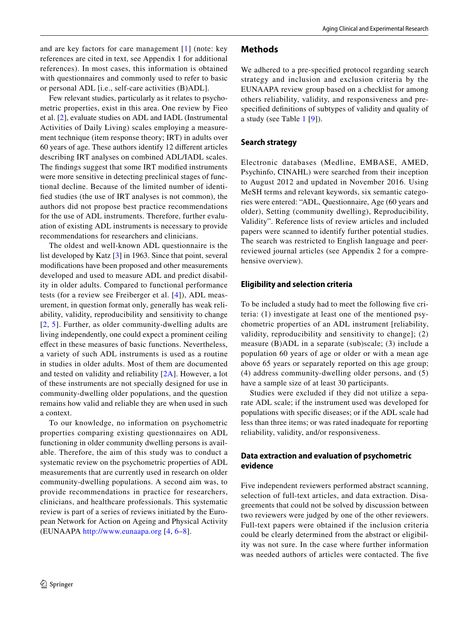and are key factors for care management [[1](#page-8-0)] (note: key references are cited in text, see Appendix 1 for additional references). In most cases, this information is obtained with questionnaires and commonly used to refer to basic or personal ADL [i.e., self-care activities (B)ADL].

Few relevant studies, particularly as it relates to psychometric properties, exist in this area. One review by Fieo et al. [\[2](#page-8-1)], evaluate studies on ADL and IADL (Instrumental Activities of Daily Living) scales employing a measurement technique (item response theory; IRT) in adults over 60 years of age. These authors identify 12 different articles describing IRT analyses on combined ADL/IADL scales. The findings suggest that some IRT modified instruments were more sensitive in detecting preclinical stages of functional decline. Because of the limited number of identified studies (the use of IRT analyses is not common), the authors did not propose best practice recommendations for the use of ADL instruments. Therefore, further evaluation of existing ADL instruments is necessary to provide recommendations for researchers and clinicians.

The oldest and well-known ADL questionnaire is the list developed by Katz [\[3\]](#page-8-2) in 1963. Since that point, several modifications have been proposed and other measurements developed and used to measure ADL and predict disability in older adults. Compared to functional performance tests (for a review see Freiberger et al. [[4](#page-8-3)]), ADL measurement, in question format only, generally has weak reliability, validity, reproducibility and sensitivity to change [[2,](#page-8-1) [5](#page-8-4)]. Further, as older community-dwelling adults are living independently, one could expect a prominent ceiling effect in these measures of basic functions. Nevertheless, a variety of such ADL instruments is used as a routine in studies in older adults. Most of them are documented and tested on validity and reliability [[2A](#page-8-5)]. However, a lot of these instruments are not specially designed for use in community-dwelling older populations, and the question remains how valid and reliable they are when used in such a context.

To our knowledge, no information on psychometric properties comparing existing questionnaires on ADL functioning in older community dwelling persons is available. Therefore, the aim of this study was to conduct a systematic review on the psychometric properties of ADL measurements that are currently used in research on older community-dwelling populations. A second aim was, to provide recommendations in practice for researchers, clinicians, and healthcare professionals. This systematic review is part of a series of reviews initiated by the European Network for Action on Ageing and Physical Activity (EUNAAPA<http://www.eunaapa.org> [[4,](#page-8-3) [6](#page-8-6)[–8\]](#page-8-7).

#### **Methods**

We adhered to a pre-specified protocol regarding search strategy and inclusion and exclusion criteria by the EUNAAPA review group based on a checklist for among others reliability, validity, and responsiveness and prespecified definitions of subtypes of validity and quality of a study (see Table [1](#page-2-0) [[9](#page-8-8)]).

### **Search strategy**

Electronic databases (Medline, EMBASE, AMED, Psychinfo, CINAHL) were searched from their inception to August 2012 and updated in November 2016. Using MeSH terms and relevant keywords, six semantic categories were entered: "ADL, Questionnaire, Age (60 years and older), Setting (community dwelling), Reproducibility, Validity". Reference lists of review articles and included papers were scanned to identify further potential studies. The search was restricted to English language and peerreviewed journal articles (see Appendix 2 for a comprehensive overview).

## **Eligibility and selection criteria**

To be included a study had to meet the following five criteria: (1) investigate at least one of the mentioned psychometric properties of an ADL instrument [reliability, validity, reproducibility and sensitivity to change]; (2) measure (B)ADL in a separate (sub)scale; (3) include a population 60 years of age or older or with a mean age above 65 years or separately reported on this age group; (4) address community-dwelling older persons, and (5) have a sample size of at least 30 participants.

Studies were excluded if they did not utilize a separate ADL scale; if the instrument used was developed for populations with specific diseases; or if the ADL scale had less than three items; or was rated inadequate for reporting reliability, validity, and/or responsiveness.

#### **Data extraction and evaluation of psychometric evidence**

Five independent reviewers performed abstract scanning, selection of full-text articles, and data extraction. Disagreements that could not be solved by discussion between two reviewers were judged by one of the other reviewers. Full-text papers were obtained if the inclusion criteria could be clearly determined from the abstract or eligibility was not sure. In the case where further information was needed authors of articles were contacted. The five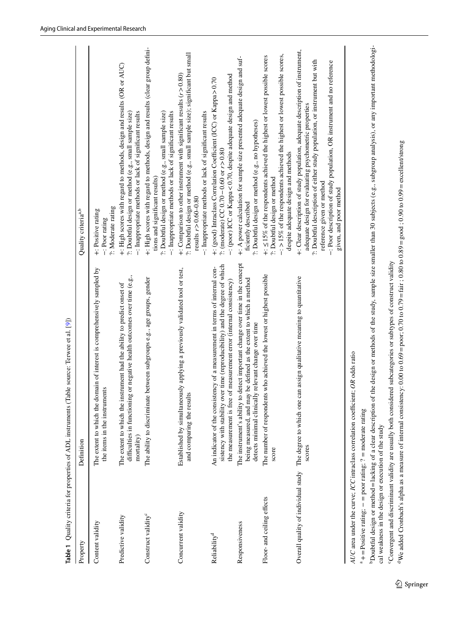|                                                                                                                                                                                                        | Table 1 Quality criteria for properties of ADL instruments (Table source: Terwee et al. [9])                                                                                                                                     |                                                                                                                                                                                                                                                                                                                                                         |
|--------------------------------------------------------------------------------------------------------------------------------------------------------------------------------------------------------|----------------------------------------------------------------------------------------------------------------------------------------------------------------------------------------------------------------------------------|---------------------------------------------------------------------------------------------------------------------------------------------------------------------------------------------------------------------------------------------------------------------------------------------------------------------------------------------------------|
| Property                                                                                                                                                                                               | Definition                                                                                                                                                                                                                       | Quality criteria <sup>a,b</sup>                                                                                                                                                                                                                                                                                                                         |
| Content validity                                                                                                                                                                                       | The extent to which the domain of interest is comprehensively sampled by<br>the items in the instruments                                                                                                                         | ?: Moderate rating<br>+: Positive rating<br>-: Poor rating                                                                                                                                                                                                                                                                                              |
| Predictive validity                                                                                                                                                                                    | difficulties in functioning or negative health outcomes over time (e.g.,<br>The extent to which the instrument had the ability to predict onset of<br>mortality)                                                                 | +: High scores with regard to methods, design and results (OR or AUC)<br>?: Doubtful design or method (e.g., small sample size)<br>-: Inappropriate methods or lack of significant results                                                                                                                                                              |
| Construct validity <sup>c</sup>                                                                                                                                                                        | between subgroups e.g., age groups, gender<br>The ability to discriminate                                                                                                                                                        | +: High scores with regard to methods, design and results (clear group defini-<br>?: Doubtful design or method (e.g., small sample size)<br>-: Inappropriate methods or lack of significant results<br>tions and significant results)                                                                                                                   |
| Concurrent validity                                                                                                                                                                                    | Established by simultaneously applying a previously validated tool or test,<br>S.<br>and comparing the result                                                                                                                    | ?: Doubtful design or method (e.g., small sample size); significant but small<br>+: Comparison to other instrument with significant results $(r > 0.80)$<br>-: Inappropriate methods or lack of significant results<br>results $r > 0.60 - 0.80$                                                                                                        |
| Reliability <sup>d</sup>                                                                                                                                                                               | sistency with stability over time (reproducibility) and the degree of which<br>An indicator of the consistency of a measurement in terms of internal con-<br>the measurement is free of measurement error (internal consistency) | -: (poor) ICC or Kappa < 0.70, despite adequate design and method<br>+: (good) Intraclass Correlation Coefficient (ICC) or Kappa>0.70<br>?: (moderate) CC $0.70 - 0.60$ or $r > 0.80$                                                                                                                                                                   |
| Responsiveness                                                                                                                                                                                         | The instrument's ability to detect important change over time in the concept<br>being measured, and may be defined as the extent to which a method<br>ly relevant change over time<br>detects minimal clinicall                  | +: A power calculation for sample size presented adequate design and suf-<br>?: Doubtful design or method (e.g., no hypotheses)<br>ficiently described                                                                                                                                                                                                  |
| Floor- and ceiling effects                                                                                                                                                                             | The number of respondents who achieved the lowest or highest possible<br>score                                                                                                                                                   | -: > 15% of the respondents achieved the highest or lowest possible scores,<br>+: <15% of the respondents achieved the highest or lowest possible scores<br>despite adequate design and methods<br>?: Doubtful design or method                                                                                                                         |
|                                                                                                                                                                                                        | Overall quality of individual study The degree to which one can assign qualitative meaning to quantitative<br>scores                                                                                                             | +: Clear description of study population, adequate description of instrument,<br>?: Doubtful description of either study population, or instrument but with<br>-: Poor description of study population, OR instrument and no reference<br>adequate design for evaluating psychometric properties<br>reference given or method<br>given, and poor method |
| <sup>b</sup> Doubtful design or method = lacking of a clear description of<br>$a + P$ ositive rating; $- =$ poor rating; $? =$ moderate rating<br>cal weakness in the design or execution of the study | AUC area under the curve; ICC intraclass correlation coefficient; OR odds ratio                                                                                                                                                  | the design or methods of the study, sample size smaller than 30 subjects (e.g., subgroup analysis), or any important methodologi-                                                                                                                                                                                                                       |

<span id="page-2-0"></span>cConvergent and discriminant validity are usually both considered subcategories or subtypes of construct validity

We added Cronbach's alpha as a measure of internal consistency: 0.00 to 0.69 = poor; 0.70 to 0.79 = fair ; 0.80 to 0.89 = good ; 0.90 to 0.99 = excellent/strong

Convergent and discriminant validity are usually both considered subcategories or subtypes of construct validity<br><sup>4</sup>We added Cronbach's alpha as a measure of internal consistency: 0.00 to 0.69 = poor; 0.70 to 0.79 = fair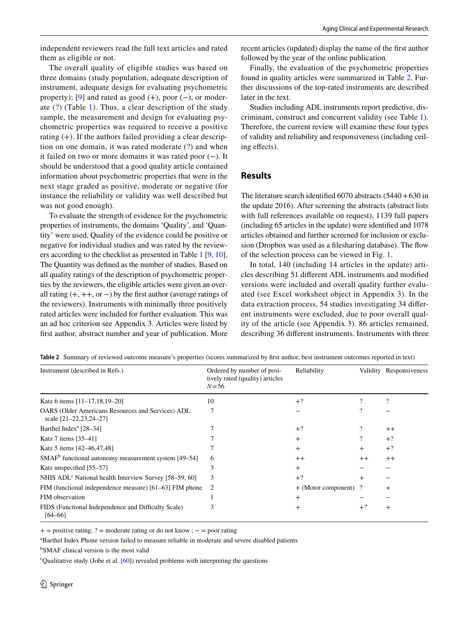independent reviewers read the full text articles and rated them as eligible or not.

The overall quality of eligible studies was based on three domains (study population, adequate description of instrument, adequate design for evaluating psychometric property); [\[9\]](#page-8-8) and rated as good (+), poor (−), or moderate (?) (Table [1\)](#page-2-0). Thus, a clear description of the study sample, the measurement and design for evaluating psychometric properties was required to receive a positive rating  $(+)$ . If the authors failed providing a clear description on one domain, it was rated moderate (?) and when it failed on two or more domains it was rated poor (−). It should be understood that a good quality article contained information about psychometric properties that were in the next stage graded as positive, moderate or negative (for instance the reliability or validity was well described but was not good enough).

To evaluate the strength of evidence for the psychometric properties of instruments, the domains 'Quality', and 'Quantity' were used. Quality of the evidence could be positive or negative for individual studies and was rated by the reviewers according to the checklist as presented in Table [1](#page-2-0) [[9,](#page-8-8) [10](#page-8-9)]. The Quantity was defined as the number of studies. Based on all quality ratings of the description of psychometric properties by the reviewers, the eligible articles were given an overall rating  $(+, ++, \text{ or } -)$  by the first author (average ratings of the reviewers). Instruments with minimally three positively rated articles were included for further evaluation. This was an ad hoc criterion see Appendix 3. Articles were listed by first author, abstract number and year of publication. More recent articles (updated) display the name of the first author followed by the year of the online publication.

Finally, the evaluation of the psychometric properties found in quality articles were summarized in Table [2.](#page-3-0) Further discussions of the top-rated instruments are described later in the text.

Studies including ADL instruments report predictive, discriminant, construct and concurrent validity (see Table [1](#page-2-0)). Therefore, the current review will examine these four types of validity and reliability and responsiveness (including ceiling effects).

#### **Results**

The literature search identified  $6070$  abstracts  $(5440 + 630)$  in the update 2016). After screening the abstracts (abstract lists with full references available on request), 1139 full papers (including 65 articles in the update) were identified and 1078 articles obtained and further screened for inclusion or exclusion (Dropbox was used as a filesharing database). The flow of the selection process can be viewed in Fig. [1](#page-4-0).

In total, 140 (including 14 articles in the update) articles describing 51 different ADL instruments and modified versions were included and overall quality further evaluated (see Excel worksheet object in Appendix 3). In the data extraction process, 54 studies investigating 34 different instruments were excluded, due to poor overall quality of the article (see Appendix 3). 86 articles remained, describing 36 different instruments. Instruments with three

| Instrument (described in Refs.)                                                    | Ordered by number of posi-<br>tively rated (quality) articles<br>$N = 56$ | Reliability             |                | Validity Responsiveness |
|------------------------------------------------------------------------------------|---------------------------------------------------------------------------|-------------------------|----------------|-------------------------|
| Katz 6 items [11-17,18,19-20]                                                      | 10                                                                        | $+?$                    |                | ?                       |
| <b>OARS</b> (Older Americans Resources and Services) ADL<br>scale [21-22,23,24-27] |                                                                           |                         |                |                         |
| Barthel Index <sup>a</sup> [28-34]                                                 |                                                                           | $+?$                    |                | $++$                    |
| Katz 7 items [35–41]                                                               |                                                                           | $\pm$                   |                | $+?$                    |
| Katz 5 items [42–46,47,48]                                                         |                                                                           | $\pm$                   | $\overline{+}$ | $+?$                    |
| SMAF <sup>b</sup> functional autonomy measurement system [49–54]                   | 6                                                                         | $^+$                    | $^+$           | $++$                    |
| Katz unspecified [55–57]                                                           |                                                                           | $^{+}$                  |                |                         |
| NHIS ADL <sup>c</sup> National health Interview Survey [58–59, 60]                 | 3                                                                         | $+?$                    | $\, +$         |                         |
| FIM (functional independence measure) [61–63] FIM phone                            | 2                                                                         | $+$ (Motor component) ? |                | $^+$                    |
| FIM observation                                                                    |                                                                           | $^+$                    |                |                         |
| FIDS (Functional Independence and Difficulty Scale)<br>$[64 - 66]$                 | ∍                                                                         | $\pm$                   | $+?$           | $^{+}$                  |

<span id="page-3-0"></span>**Table 2** Summary of reviewed outcome measure's properties (scores summarized by first author, best instrument outcomes reported in text)

+ = positive rating; ? = moderate rating or do not know ; − = poor rating

a Barthel Index Phone version failed to measure reliable in moderate and severe disabled patients

b SMAF clinical version is the most valid

<sup>c</sup>Qualitative study (Jobe et al. [\[60\]](#page-8-10)) revealed problems with interpreting the questions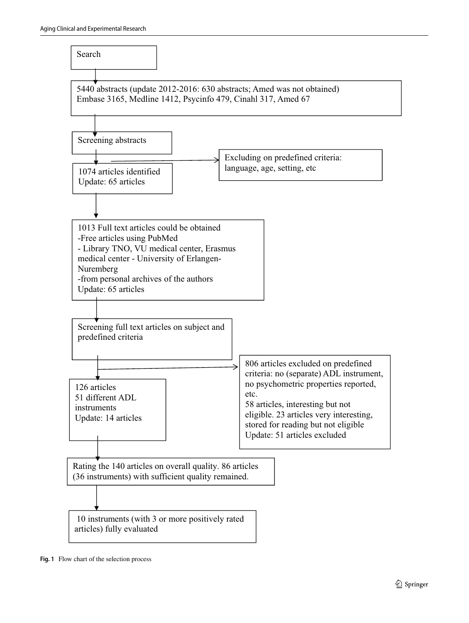

<span id="page-4-0"></span>**Fig. 1** Flow chart of the selection process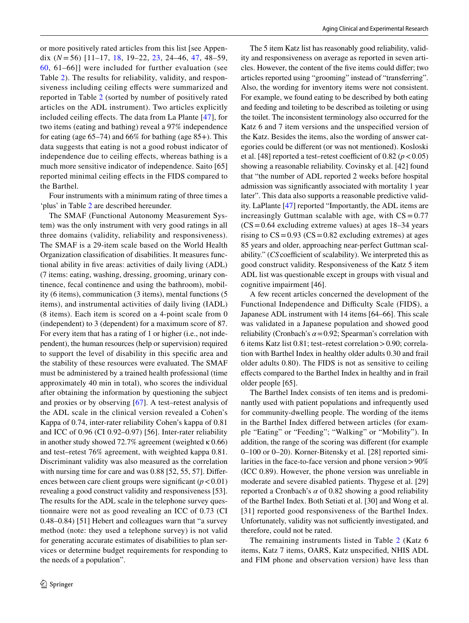or more positively rated articles from this list [see Appendix (*N* = 56) [11–17, [18](#page-8-11), 19–22, [23,](#page-8-12) 24–46, [47,](#page-8-13) 48–59, [60,](#page-8-10) 61–66]] were included for further evaluation (see Table [2\)](#page-3-0). The results for reliability, validity, and responsiveness including ceiling effects were summarized and reported in Table [2](#page-3-0) (sorted by number of positively rated articles on the ADL instrument). Two articles explicitly included ceiling effects. The data from La Plante [\[47\]](#page-8-13), for two items (eating and bathing) reveal a 97% independence for eating (age  $65-74$ ) and  $66\%$  for bathing (age  $85+$ ). This data suggests that eating is not a good robust indicator of independence due to ceiling effects, whereas bathing is a much more sensitive indicator of independence. Saito [65] reported minimal ceiling effects in the FIDS compared to the Barthel.

Four instruments with a minimum rating of three times a 'plus' in Table [2](#page-3-0) are described hereunder.

The SMAF (Functional Autonomy Measurement System) was the only instrument with very good ratings in all three domains (validity, reliability and responsiveness). The SMAF is a 29-item scale based on the World Health Organization classification of disabilities. It measures functional ability in five areas: activities of daily living (ADL) (7 items: eating, washing, dressing, grooming, urinary continence, fecal continence and using the bathroom), mobility (6 items), communication (3 items), mental functions (5 items), and instrumental activities of daily living (IADL) (8 items). Each item is scored on a 4-point scale from 0 (independent) to 3 (dependent) for a maximum score of 87. For every item that has a rating of 1 or higher (i.e., not independent), the human resources (help or supervision) required to support the level of disability in this specific area and the stability of these resources were evaluated. The SMAF must be administered by a trained health professional (time approximately 40 min in total), who scores the individual after obtaining the information by questioning the subject and proxies or by observing [[67](#page-8-14)]. A test–retest analysis of the ADL scale in the clinical version revealed a Cohen's Kappa of 0.74, inter-rater reliability Cohen's kappa of 0.81 and ICC of 0.96 (CI 0.92–0.97) [56]. Inter-rater reliability in another study showed 72.7% agreement (weighted κ 0.66) and test–retest 76% agreement, with weighted kappa 0.81. Discriminant validity was also measured as the correlation with nursing time for care and was 0.88 [52, 55, 57]. Differences between care client groups were significant  $(p < 0.01)$ revealing a good construct validity and responsiveness [53]. The results for the ADL scale in the telephone survey questionnaire were not as good revealing an ICC of 0.73 (CI 0.48–0.84) [51] Hebert and colleagues warn that "a survey method (note: they used a telephone survey) is not valid for generating accurate estimates of disabilities to plan services or determine budget requirements for responding to the needs of a population".

The 5 item Katz list has reasonably good reliability, validity and responsiveness on average as reported in seven articles. However, the content of the five items could differ; two articles reported using "grooming" instead of "transferring". Also, the wording for inventory items were not consistent. For example, we found eating to be described by both eating and feeding and toileting to be described as toileting or using the toilet. The inconsistent terminology also occurred for the Katz 6 and 7 item versions and the unspecified version of the Katz. Besides the items, also the wording of answer categories could be different (or was not mentioned). Kosloski et al. [48] reported a test–retest coefficient of  $0.82$  ( $p < 0.05$ ) showing a reasonable reliability. Covinsky et al. [42] found that "the number of ADL reported 2 weeks before hospital admission was significantly associated with mortality 1 year later". This data also supports a reasonable predictive validity. LaPlante [\[47](#page-8-13)] reported "Importantly, the ADL items are increasingly Guttman scalable with age, with  $CS = 0.77$  $(CS = 0.64$  excluding extreme values) at ages 18–34 years rising to  $CS = 0.93$  (CS = 0.82 excluding extremes) at ages 85 years and older, approaching near-perfect Guttman scalability." (*CS*coefficient of scalability). We interpreted this as good construct validity. Responsiveness of the Katz 5 item ADL list was questionable except in groups with visual and cognitive impairment [46].

A few recent articles concerned the development of the Functional Independence and Difficulty Scale (FIDS), a Japanese ADL instrument with 14 items [64–66]. This scale was validated in a Japanese population and showed good reliability (Cronbach's  $\alpha$  = 0.92; Spearman's correlation with 6 items Katz list 0.81; test–retest correlation>0.90; correlation with Barthel Index in healthy older adults 0.30 and frail older adults 0.80). The FIDS is not as sensitive to ceiling effects compared to the Barthel Index in healthy and in frail older people [65].

The Barthel Index consists of ten items and is predominantly used with patient populations and infrequently used for community-dwelling people. The wording of the items in the Barthel Index differed between articles (for example "Eating" or "Feeding"; "Walking" or "Mobility"). In addition, the range of the scoring was different (for example 0–100 or 0–20). Korner-Bitensky et al. [28] reported similarities in the face-to-face version and phone version>90% (ICC 0.89). However, the phone version was unreliable in moderate and severe disabled patients. Thygese et al. [29] reported a Cronbach's *α* of 0.82 showing a good reliability of the Barthel Index. Both Setiati et al. [30] and Wong et al. [31] reported good responsiveness of the Barthel Index. Unfortunately, validity was not sufficiently investigated, and therefore, could not be rated.

The remaining instruments listed in Table [2](#page-3-0) (Katz 6 items, Katz 7 items, OARS, Katz unspecified, NHIS ADL and FIM phone and observation version) have less than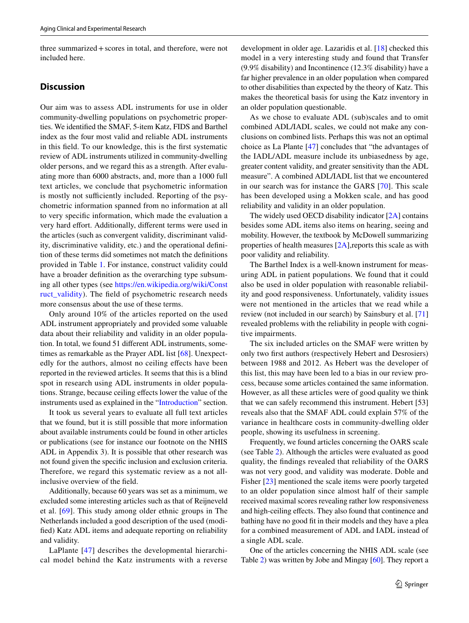three summarized+scores in total, and therefore, were not included here.

#### **Discussion**

Our aim was to assess ADL instruments for use in older community-dwelling populations on psychometric properties. We identified the SMAF, 5-item Katz, FIDS and Barthel index as the four most valid and reliable ADL instruments in this field. To our knowledge, this is the first systematic review of ADL instruments utilized in community-dwelling older persons, and we regard this as a strength. After evaluating more than 6000 abstracts, and, more than a 1000 full text articles, we conclude that psychometric information is mostly not sufficiently included. Reporting of the psychometric information spanned from no information at all to very specific information, which made the evaluation a very hard effort. Additionally, different terms were used in the articles (such as convergent validity, discriminant validity, discriminative validity, etc.) and the operational definition of these terms did sometimes not match the definitions provided in Table [1](#page-2-0). For instance, construct validity could have a broader definition as the overarching type subsuming all other types (see [https://en.wikipedia.org/wiki/Const](https://en.wikipedia.org/wiki/Construct_validity) ruct validity). The field of psychometric research needs more consensus about the use of these terms.

Only around 10% of the articles reported on the used ADL instrument appropriately and provided some valuable data about their reliability and validity in an older population. In total, we found 51 different ADL instruments, sometimes as remarkable as the Prayer ADL list [\[68](#page-8-15)]. Unexpectedly for the authors, almost no ceiling effects have been reported in the reviewed articles. It seems that this is a blind spot in research using ADL instruments in older populations. Strange, because ceiling effects lower the value of the instruments used as explained in the "[Introduction](#page-0-0)" section.

It took us several years to evaluate all full text articles that we found, but it is still possible that more information about available instruments could be found in other articles or publications (see for instance our footnote on the NHIS ADL in Appendix 3). It is possible that other research was not found given the specific inclusion and exclusion criteria. Therefore, we regard this systematic review as a not allinclusive overview of the field.

Additionally, because 60 years was set as a minimum, we excluded some interesting articles such as that of Reijneveld et al. [[69](#page-8-16)]. This study among older ethnic groups in The Netherlands included a good description of the used (modified) Katz ADL items and adequate reporting on reliability and validity.

LaPlante [[47](#page-8-13)] describes the developmental hierarchical model behind the Katz instruments with a reverse development in older age. Lazaridis et al. [[18\]](#page-8-11) checked this model in a very interesting study and found that Transfer (9.9% disability) and Incontinence (12.3% disability) have a far higher prevalence in an older population when compared to other disabilities than expected by the theory of Katz. This makes the theoretical basis for using the Katz inventory in an older population questionable.

As we chose to evaluate ADL (sub)scales and to omit combined ADL/IADL scales, we could not make any conclusions on combined lists. Perhaps this was not an optimal choice as La Plante [\[47](#page-8-13)] concludes that "the advantages of the IADL/ADL measure include its unbiasedness by age, greater content validity, and greater sensitivity than the ADL measure". A combined ADL/IADL list that we encountered in our search was for instance the GARS [[70](#page-8-17)]. This scale has been developed using a Mokken scale, and has good reliability and validity in an older population.

The widely used OECD disability indicator [\[2A\]](#page-8-5) contains besides some ADL items also items on hearing, seeing and mobility. However, the textbook by McDowell summarizing properties of health measures  $[2A]$  $[2A]$ , reports this scale as with poor validity and reliability.

The Barthel Index is a well-known instrument for measuring ADL in patient populations. We found that it could also be used in older population with reasonable reliability and good responsiveness. Unfortunately, validity issues were not mentioned in the articles that we read while a review (not included in our search) by Sainsbury et al. [[71\]](#page-8-18) revealed problems with the reliability in people with cognitive impairments.

The six included articles on the SMAF were written by only two first authors (respectively Hebert and Desrosiers) between 1988 and 2012. As Hebert was the developer of this list, this may have been led to a bias in our review process, because some articles contained the same information. However, as all these articles were of good quality we think that we can safely recommend this instrument. Hebert [53] reveals also that the SMAF ADL could explain 57% of the variance in healthcare costs in community-dwelling older people, showing its usefulness in screening.

Frequently, we found articles concerning the OARS scale (see Table [2\)](#page-3-0). Although the articles were evaluated as good quality, the findings revealed that reliability of the OARS was not very good, and validity was moderate. Doble and Fisher [\[23](#page-8-12)] mentioned the scale items were poorly targeted to an older population since almost half of their sample received maximal scores revealing rather low responsiveness and high-ceiling effects. They also found that continence and bathing have no good fit in their models and they have a plea for a combined measurement of ADL and IADL instead of a single ADL scale.

One of the articles concerning the NHIS ADL scale (see Table [2](#page-3-0)) was written by Jobe and Mingay [[60](#page-8-10)]. They report a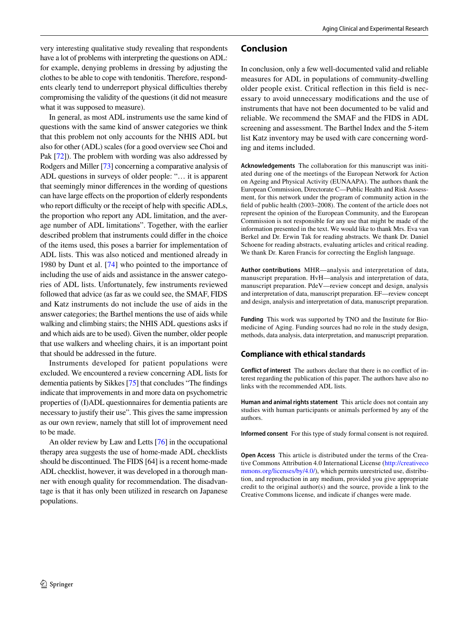very interesting qualitative study revealing that respondents have a lot of problems with interpreting the questions on ADL: for example, denying problems in dressing by adjusting the clothes to be able to cope with tendonitis. Therefore, respondents clearly tend to underreport physical difficulties thereby compromising the validity of the questions (it did not measure what it was supposed to measure).

In general, as most ADL instruments use the same kind of questions with the same kind of answer categories we think that this problem not only accounts for the NHIS ADL but also for other (ADL) scales (for a good overview see Choi and Pak [[72](#page-8-19)]). The problem with wording was also addressed by Rodgers and Miller [\[73\]](#page-8-20) concerning a comparative analysis of ADL questions in surveys of older people: "… it is apparent that seemingly minor differences in the wording of questions can have large effects on the proportion of elderly respondents who report difficulty or the receipt of help with specific ADLs, the proportion who report any ADL limitation, and the average number of ADL limitations". Together, with the earlier described problem that instruments could differ in the choice of the items used, this poses a barrier for implementation of ADL lists. This was also noticed and mentioned already in 1980 by Dunt et al. [\[74](#page-8-21)] who pointed to the importance of including the use of aids and assistance in the answer categories of ADL lists. Unfortunately, few instruments reviewed followed that advice (as far as we could see, the SMAF, FIDS and Katz instruments do not include the use of aids in the answer categories; the Barthel mentions the use of aids while walking and climbing stairs; the NHIS ADL questions asks if and which aids are to be used). Given the number, older people that use walkers and wheeling chairs, it is an important point that should be addressed in the future.

Instruments developed for patient populations were excluded. We encountered a review concerning ADL lists for dementia patients by Sikkes [\[75](#page-8-22)] that concludes "The findings indicate that improvements in and more data on psychometric properties of (I)ADL questionnaires for dementia patients are necessary to justify their use". This gives the same impression as our own review, namely that still lot of improvement need to be made.

An older review by Law and Letts [[76\]](#page-8-23) in the occupational therapy area suggests the use of home-made ADL checklists should be discontinued. The FIDS [64] is a recent home-made ADL checklist, however, it was developed in a thorough manner with enough quality for recommendation. The disadvantage is that it has only been utilized in research on Japanese populations.

#### **Conclusion**

In conclusion, only a few well-documented valid and reliable measures for ADL in populations of community-dwelling older people exist. Critical reflection in this field is necessary to avoid unnecessary modifications and the use of instruments that have not been documented to be valid and reliable. We recommend the SMAF and the FIDS in ADL screening and assessment. The Barthel Index and the 5-item list Katz inventory may be used with care concerning wording and items included.

**Acknowledgements** The collaboration for this manuscript was initiated during one of the meetings of the European Network for Action on Ageing and Physical Activity (EUNAAPA). The authors thank the European Commission, Directorate C—Public Health and Risk Assessment, for this network under the program of community action in the field of public health (2003–2008). The content of the article does not represent the opinion of the European Community, and the European Commission is not responsible for any use that might be made of the information presented in the text. We would like to thank Mrs. Eva van Berkel and Dr. Erwin Tak for reading abstracts. We thank Dr. Daniel Schoene for reading abstracts, evaluating articles and critical reading. We thank Dr. Karen Francis for correcting the English language.

**Author contributions** MHR—analysis and interpretation of data, manuscript preparation. HvH—analysis and interpretation of data, manuscript preparation. PdeV—review concept and design, analysis and interpretation of data, manuscript preparation. EF—review concept and design, analysis and interpretation of data, manuscript preparation.

**Funding** This work was supported by TNO and the Institute for Biomedicine of Aging. Funding sources had no role in the study design, methods, data analysis, data interpretation, and manuscript preparation.

#### **Compliance with ethical standards**

**Conflict of interest** The authors declare that there is no conflict of interest regarding the publication of this paper. The authors have also no links with the recommended ADL lists.

**Human and animal rights statement** This article does not contain any studies with human participants or animals performed by any of the authors.

**Informed consent** For this type of study formal consent is not required.

**Open Access** This article is distributed under the terms of the Creative Commons Attribution 4.0 International License ([http://creativeco](http://creativecommons.org/licenses/by/4.0/) [mmons.org/licenses/by/4.0/](http://creativecommons.org/licenses/by/4.0/)), which permits unrestricted use, distribution, and reproduction in any medium, provided you give appropriate credit to the original author(s) and the source, provide a link to the Creative Commons license, and indicate if changes were made.